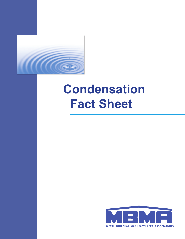

# **Condensation Fact Sheet**

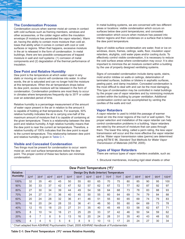#### **The Condensation Process**

Condensation occurs when warmer moist air comes in contact with cold surfaces such as framing members, windows and other accessories, or the colder region within the insulation envelope (if moisture has penetrated the vapor retarder). Warm air, having the ability to contain more moisture than cold air, loses that ability when it comes in contact with cool or cold surfaces or regions. When that happens, excessive moisture in the air is released in the form of condensation. In metal buildings, there are two possible consequences of trapped moisture in wall and roof systems: (1) corrosion of metal components and (2) degradation of the thermal performance of insulation.

# **Dew Point and Relative Humidity**

Dew point is the temperature at which water vapor in any static or moving air column will condense into water. In other words, the air is saturated and can no longer hold the moisture at this temperature. When the air temperature drops below its dew point, excess moisture will be released in the form of condensation. Condensation problems are most likely to occur in climates where temperatures frequently dip to 35°F or colder over an extended period of time.

Relative humidity is a percentage measurement of the amount of water vapor present in the air in relation to the amount it is capable of holding at that temperature. For example, 50% relative humidity indicates the air is carrying one-half of the maximum amount of moisture that it is capable of containing at the given temperature. There is a relationship between the dew point and relative humidity. A high relative humidity means that the dew point is near the current air temperature. Therefore, a relative humidity of 100% indicates that the dew point is equal to the current temperature. This relationship between dew point and relative humidity is given in Table C-1.

#### **Visible and Concealed Condensation**

Two things must be present for condensation to occur: warm moist air, and cool surface temperatures below the dew point. The proper control of these two factors can minimize condensation.

In metal building systems, we are concerned with two different areas or locations: visible condensation which occurs on surfaces below dew point temperatures; and concealed condensation which occurs when moisture has passed into interior regions and then condenses on a surface that is below the dew point temperature.

Signs of visible surface condensation are water, frost or ice on windows, doors, frames, ceilings, walls, floor, insulation vapor retarders, skylights, cold water pipes and/or cooling ducts. To effectively control visible condensation, it is necessary to reduce the cold surface areas where condensation may occur. It is also important to minimize the air moisture content within a building by the use of properly designed ventilating systems.

Signs of concealed condensation include damp spots, stains, mold and/or mildew on walls or ceilings, delamination of laminated surfaces, bubbles or blisters in asphaltic surfaces, peeling paint, and damp insulation. Concealed condensation is the most difficult to deal with and can be the most damaging. This type of condensation may be controlled in metal buildings by the proper use of vapor retarders and by minimizing moisture content within the building by proper ventilation. Additional condensation control can be accomplished by venting the cavities of the walls and roof.

# **Vapor Retarders**

A vapor retarder is used to inhibit the passage of warmer moist air into the inner regions of the roof or wall system. The proper selection and installation of the vapor retarder can help control condensation problems in a building. Vapor retarders are rated by the amount of moisture that can pass through them. The lower this rating, called a perm rating, the less vapor transmission will occur and the more effective the vapor retarder will be. Water vapor transmission rates (perms) are determined using ASTM E 96, *Standard Test Methods for Water Vapor Transmission of Materials* (ASTM, 2005).

# **Types of Vapor Retarders**

There are various types of vapor retarders available, such as:

1. Structural membranes, including rigid steel sheets or other

| Dew Point Temperature (°F) <sup>1</sup>                                               |                                               |                |               |      |                |      |               |                |                |      |      |      |                |                |       |
|---------------------------------------------------------------------------------------|-----------------------------------------------|----------------|---------------|------|----------------|------|---------------|----------------|----------------|------|------|------|----------------|----------------|-------|
| <b>Relative</b><br><b>Humidity</b>                                                    | <b>Design Dry Bulb (Interior) Temperature</b> |                |               |      |                |      |               |                |                |      |      |      |                |                |       |
|                                                                                       | $32^{\circ}F$                                 | $35^{\circ}$ F | $40^{\circ}F$ | 45°F | $50^{\circ}$ F | 55°F | $60^{\circ}F$ | $65^{\circ}$ F | $70^{\circ}$ F | 75°F | 80°F | 85°F | $90^{\circ}$ F | $95^{\circ}$ F | 100°F |
| 100%                                                                                  | 32                                            | 35             | 40            | 45   | 50             | 55   | 60            | 65             | 70             | 75   | 80   | 85   | 90             | 95             | 100   |
| 90%                                                                                   | 30                                            | 33             | 37            | 42   | 47             | 52   | 57            | 62             | 67             | 72   | 77   | 82   | 87             | 92             | 97    |
| 80%                                                                                   | 27                                            | 30             | 34            | 39   | 44             | 49   | 54            | 58             | 64             | 68   | 73   | 78   | 83             | 88             | 93    |
| 70%                                                                                   | 24                                            | 27             | 31            | 36   | 40             | 45   | 50            | 55             | 60             | 64   | 69   | 74   | 79             | 84             | 88    |
| 60%                                                                                   | 20                                            | 24             | 28            | 32   | 36             | 41   | 46            | 51             | 55             | 60   | 65   | 69   | 74             | 79             | 83    |
| 50%                                                                                   | 16                                            | 20             | 24            | 28   | 33             | 36   | 41            | 46             | 50             | 55   | 60   | 64   | 69             | 73             | 78    |
| 40%                                                                                   | 12                                            | 15             | 18            | 23   | 27             | 31   | 35            | 40             | 45             | 49   | 53   | 58   | 62             | 67             | 71    |
| 30%                                                                                   | 8                                             | 10             | 14            | 16   | 21             | 25   | 29            | 33             | 37             | 42   | 46   | 50   | 54             | 59             | 62    |
| 20%                                                                                   | 6                                             | 7              | 8             | 9    | 13             | 16   | 20            | 24             | 28             | 31   | 35   | 40   | 43             | 48             | 52    |
| 10%                                                                                   | 4                                             | 4              | 5             | 5    | 6              | 8    | 9             | 10             | 13             | 17   | 20   | 24   | 27             | 30             | 34    |
| 1 Chart adapted from ACHDAE Doughamatric Chart, 2005, ACHDAE Handhook of Eundomontolo |                                               |                |               |      |                |      |               |                |                |      |      |      |                |                |       |

1 Chart adapted from ASHRAE Psychometric Chart, 2005 *ASHRAE Handbook of Fundamentals*

Table C-1: Dew Point Temperature (°F)<sup>1</sup> verses Relative Humidity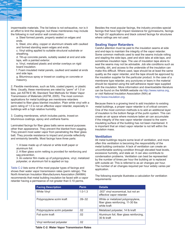impermeable materials. The list below is not exhaustive, nor is it an effort to limit the designer, but these membranes may include the following in roof and/or wall construction:

a. Steel formed panels, properly sealed on edges and ends.

b. Steel, zinc alloy, copper or aluminum sheets with caulked and formed standing seam edges and ends.

c. Vinyl siding applied to suitable structural substrate or sheathing.

d. Tilt-up concrete panels, suitably sealed at end and side laps, with a painted exterior.

e. Vinyl, metalized plastic and similar overlays on rigid board insulation.

f. Foam insulated metal panels, caulked and sealed at ends and side laps.

g. Bituminous spray or trowel-on coating on concrete or masonry.

2. Flexible membranes, such as foils, coated papers, or plastic films. Usually, these membranes are rated by "perm" of 1.0 or less, per ASTM E 96, Standard Test Methods for Water Vapor Transmission of Materials (ASTM, 2005). The most common applications for metal buildings are membrane retarders laminated to fiber glass blanket insulation. Plain white vinyl with a perm rating of 1.0 is not an effective vapor retarder, especially in buildings with a high relative humidity.

3. Coating membranes, which includes paints, trowel-on bituminous coatings, epoxy and urethane foams.

Laminated facings for fiber glass batts serve several purposes other than appearance. They prevent the blanket from sagging. They prevent most water vapor from penetrating the fiber glass batt. They provide resistance to impact and provide reflectivity and emissivity benefits. Most facings have three parts:

1. A base made up of natural or white kraft paper or aluminum foil.

2. A fiber glass scrim netting is provided for reinforcing and sag prevention.

3. An exterior film made up of polypropylene, vinyl, metalized polyester, or aluminum foil is applied on top.

Table C-2 lists some of the most popular types of facings and shows their water vapor transmission rates (perm ratings). The North American Insulation Manufacturers Association (NAIMA) recommends that metal building insulation be faced with a vapor retarder having a permeance of not greater than 0.10 perms.

Besides the most popular facings, the industry provides special facings that have high impact resistance for gymnasiums, facings for high UV applications and black colored facings for structures where ceilings are not used.

### **Sealing Vapor Retarders**

Careful attention must be paid to the insulation seams at side and end-laps to maintain the integrity of the vapor retarder. Some common methods used to seal the seams include rolling and stapling the side-laps, peel and stick tabs at side-laps, and sometimes insulation tape. The use of insulation tape alone to seal the seams may not be advisable. Job site conditions such as humidity, dirt, and access to the underside of the insulation can make this difficult. Where used, tape should be at least the same quality as the vapor retarder, and the tape should be approved by the insulation supplier for the particular product. In the case of a membrane type retarder, any punctures or tears in the material should be repaired using the self-adhesive repair tape supplied with the insulation. More information and downloadable literature can be found on the NAIMA website via http://www.naima.org, or visit National Insulation Association (NIA) at http://www.insulation.org.

Because there is a growing trend to add insulation to existing metal buildings, a proper vapor retarder is of critical concern. One of the most common methods is to add an additional layer of insulation to the bottom flange of the purlin system. This can create an air space where moisture laden air can accumulate if the integrity of the new vapor retarder closest to the warm insulating surface of the building has not been maintained. It is important that an intact vapor retarder is not left within the insulation mass.

#### **Ventilation**

All metal buildings require some level of ventilation, and more often this ventilation is becoming the responsibility of the metal building contractor. A lack of ventilation can create an uncomfortable working condition through elevated heat levels, excessive humidity, and stale air. It can also contribute to condensation problems. Ventilation can best be represented by the number of times per hour the building air is replaced with outside air. This is referred to as air changes per hour. The number of air changes required per hour widely varies per application.

The following example illustrates a calculation for ventilation requirements:

| <b>Facing Description</b>     | <b>Perm</b> | <b>Details</b>                                                                         |
|-------------------------------|-------------|----------------------------------------------------------------------------------------|
| <b>White Vinyl</b>            | $1.0 - 1.3$ | .003" vinyl economical, but not an<br>effective vapor retarder                         |
| Polypropylene scrim kraft     | $.09 - .02$ | White or metalized polypropylene,<br>fiber glass reinforcing, 11-30 lbs<br>white kraft |
| Polypropylene scrim polyester | .02         | Metalized polyester, 14 lb kraft                                                       |
| Foil scrim kraft              | .02         | Aluminum foil, fiber glass reinforcing,<br>30 lb kraft                                 |
| Vinyl reinforced polyester    | .02         |                                                                                        |

**Table C-2: Water Vapor Transmission Rates**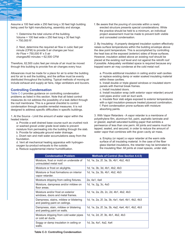Assume a 100 feet wide x 250 feet long x 30 feet high building being used for light manufacturing, assembly and storage.

1. Determine the total volume of the building. Volume = 100 feet wide x 250 feet long x 30 feet high  $= 750,000$  ft<sup>3</sup>.

2. Next, determine the required air flow in cubic feet per minute (CFM) to provide 5 air changes per hour. Air Flow = 750,000 ft $^3$  x 5 air changes/60 minutes = 62,500 CFM

Therefore, 62,500 cubic feet per minute of air must be moved through this building to provide five air changes every hour.

Allowances must be made for a place for air to enter the building and for air to exit the building, and the airflow must be evenly distributed throughout the building. Typical methods of moving air include exhaust and supply air fans, ridge ventilators and louvers.

#### **Controlling Condensation**

Table C-3 provides guidance on controlling condensation problems as listed in this section. Note that all listed control measures do not address the possibility of a leak defect through the roof membrane. This is a general checklist to control condensation through possible remedial measures. It is not designed to address specific difficulties in specific buildings.

1. At the Source - Limit the amount of water vapor within the heated interior.

- a. Provide a well drained base course such as crushed rock or washed gravel under grade level slabs to prevent moisture from permeating into the building through the slab.
- b. Provide for adequate ground water drainage.

c. Divert rain and melt water accumulations away from the foundation.

d. Vent all mechanical heating apparatus with hydrogenoxygen by-product exhausts to the outside.

e. Reduce supplemental interior humidification.

f. Be aware that the pouring of concrete within a newly erected structure presents special considerations. While the practice should be held to a minimum, an individual project assessment must be made to prevent both visible and concealed condensation.

2. By Insulating - A properly designed insulation system effectively raises surface temperatures within the building envelope above the dew point temperature. This is accomplished by controlling the heat loss at the exposed (exterior) sides of those surfaces. However, insulation added above an existing roof should be placed at the existing roof level and not against the retrofit roof if possible. Adequately ventilated space is required because any trapped warm air may condense at the cold metal roof.

a. Provide additional insulation in ceiling and/or wall cavities or replace existing damp or water soaked insulating material within these cavities.

b. Install double or triple glazed windows or insulated storm panels with thermal break frames.

c. Install insulated doors.

d. Install insulation wrap (with exterior vapor retarder) around cold pipes and/or cold air duct work.

e. Insulate floor slab edges exposed to exterior temperatures with a rigid insulation-pressure treated plywood combination. f. Paint condensation prone surfaces with moisture absorbing paints.

3. With Vapor Retarders - A vapor retarder is a membrane of polyethylene film, aluminum foil, paint, asphaltic laminate and/ or glazed, asphalt saturated building paper that exhibits a permeance of less than one perm. All joints and seams must be lapped, sealed, and secured, in order to reduce the amount of water vapor that combines with the given cavity air mass.

a. Employ (or repair) a vapor retarder at the warm side surface of all insulating material. In the case of the fiber glass blanket insulations, the retarder may be laminated to the insulating fiber. All joints at crawl spaces, under slab

| <b>Condensation Problem</b>                                              | <b>Methods of Control (See Section 4.4.5)</b>   |
|--------------------------------------------------------------------------|-------------------------------------------------|
| Moisture, frost or mold on underside of<br>uninsulated metal roof.       | 1d, 1e, 2a, 2f, 3a, 3b, 4b1, 4b2, 4b3           |
| Moisture or frost on skylights.                                          | 1d, 1e, 3b, 3d, 4b1, 4b2, 4b3                   |
| Moisture or frost formations on interior<br>vapor retarder.              | 1d, 1e, 2a, 3b, 4b1, 4b2, 4b3                   |
| Moisture dripping from ceiling fixtures.                                 | 2a, 4a1, 4a4                                    |
| Moisture, dampness and/or mildew on<br>floor areas.                      | 1d, 1e, 2g, 3c, 4a3                             |
| Moisture and/or frost on exterior<br>windows, doors and metal frames.    | 1d, 1e, 2a, 2b, 2c, 2d, 4b1, 4b2, 4b3           |
| Dampness, stains, mildew or blistering<br>and peeling paint on ceilings. | 1d, 1e, 2a, 2f, 3a, 3b, 4a1, 4a4, 4b1, 4b2, 4b3 |
| Dampness, stain, mildew or blistering<br>and peeling paint on walls.     | 1d, 1e, 2a, 2f, 3a, 3b, 4a2, 4a4, 4b1, 4b2, 4b3 |
| Moisture dripping from cold water pipes<br>or cold air ducts.            | 1d, 1e, 2d, 2f, 3b, 4b1, 4b2, 4b3               |
| Soggy or damp insulation in ceiling or<br>walls.                         | 1d, 3a, 4a1, 4a2, 4a4                           |

#### **Table C-3: Controlling Condensation**